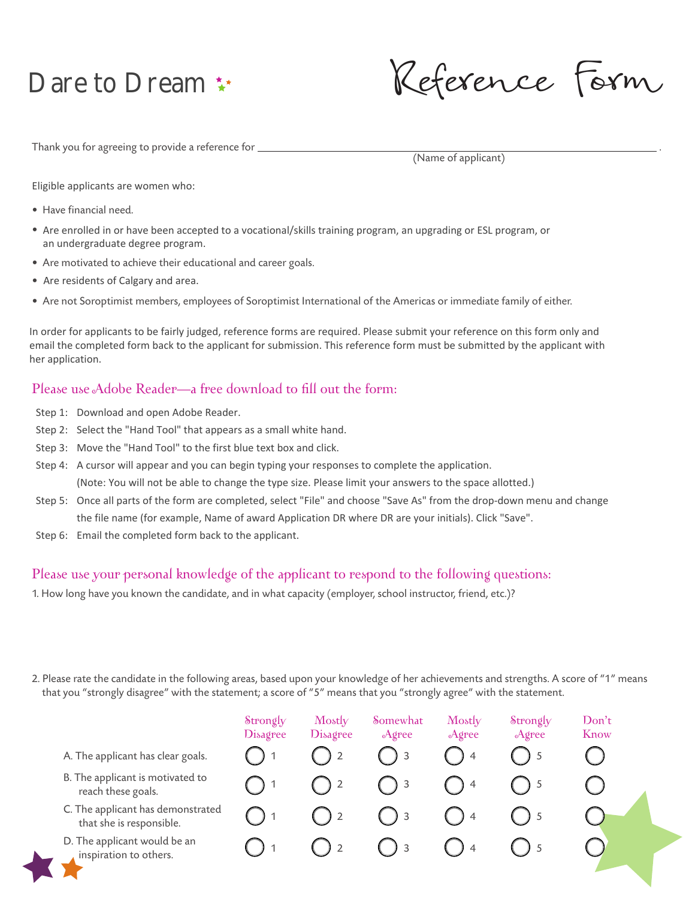## Dare to Dream \*\*

Reference Form

Thank you for agreeing to provide a reference for  $\equiv$ 

(Name of applicant)

Eligible applicants are women who:

- Have financial need.
- Are enrolled in or have been accepted to a vocational/skills training program, an upgrading or ESL program, or an undergraduate degree program.
- Are motivated to achieve their educational and career goals.
- Are residents of Calgary and area.
- Are not Soroptimist members, employees of Soroptimist International of the Americas or immediate family of either.

In order for applicants to be fairly judged, reference forms are required. Please submit your reference on this form only and email the completed form back to the applicant for submission. This reference form must be submitted by the applicant with her application.

## Please use Adobe Reader—a free download to fill out the form:

- Step 1: Download and open Adobe Reader.
- Step 2: Select the "Hand Tool" that appears as a small white hand.
- Step 3: Move the "Hand Tool" to the first blue text box and click.
- Step 4: A cursor will appear and you can begin typing your responses to complete the application. (Note: You will not be able to change the type size. Please limit your answers to the space allotted.)
- Step 5: Once all parts of the form are completed, select "File" and choose "Save As" from the drop-down menu and change the file name (for example, Name of award Application DR where DR are your initials). Click "Save".
- Step 6: Email the completed form back to the applicant.

## Please use your personal knowledge of the applicant to respond to the following questions:

1. How long have you known the candidate, and in what capacity (employer, school instructor, friend, etc.)?

2. Please rate the candidate in the following areas, based upon your knowledge of her achievements and strengths. A score of "1" means that you "strongly disagree" with the statement; a score of "5" means that you "strongly agree" with the statement.

|                                                               | Strongly<br><b>Disagree</b> | Mostly<br>Disagree | Somewhat<br>Agree | Mostly<br>Agree | Strongly<br>Agree | Don't<br>Know |
|---------------------------------------------------------------|-----------------------------|--------------------|-------------------|-----------------|-------------------|---------------|
| A. The applicant has clear goals.                             |                             |                    | - 3               | $\overline{4}$  |                   |               |
| B. The applicant is motivated to<br>reach these goals.        |                             |                    | $\overline{)}$ 3  | $\overline{4}$  |                   |               |
| C. The applicant has demonstrated<br>that she is responsible. |                             |                    | <sup>3</sup>      | 4               |                   |               |
| D. The applicant would be an<br>inspiration to others.        |                             |                    | $\overline{3}$    | $\overline{4}$  |                   |               |